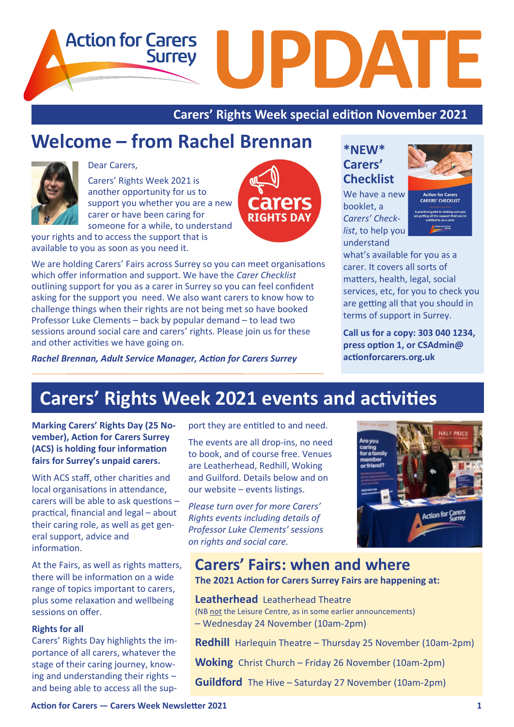**Action for Carers UPDATE Surrey** 

**Carers' Rights Week special edition November 2021**

rers

**RIGHTS DAY** 

## **Welcome – from Rachel Brennan**



### Dear Carers,

Carers' Rights Week 2021 is another opportunity for us to support you whether you are a new carer or have been caring for someone for a while, to understand

your rights and to access the support that is available to you as soon as you need it.

We are holding Carers' Fairs across Surrey so you can meet organisations which offer information and support. We have the *Carer Checklist*  outlining support for you as a carer in Surrey so you can feel confident asking for the support you need. We also want carers to know how to challenge things when their rights are not being met so have booked Professor Luke Clements – back by popular demand – to lead two sessions around social care and carers' rights. Please join us for these and other activities we have going on.

*Rachel Brennan, Adult Service Manager, Action for Carers Surrey*

**\*NEW\* Carers' Checklist** 

We have a new booklet, a *Carers' Checklist*, to help you understand



**CARERS' CHECKLIST** 

what's available for you as a carer. It covers all sorts of matters, health, legal, social services, etc, for you to check you are getting all that you should in terms of support in Surrey.

**Call us for a copy: 303 040 1234, press option 1, or CSAdmin@ actionforcarers.org.uk**

# **Carers' Rights Week 2021 events and activities**

**Marking Carers' Rights Day (25 November), Action for Carers Surrey (ACS) is holding four information fairs for Surrey's unpaid carers.**

With ACS staff, other charities and local organisations in attendance, carers will be able to ask questions – practical, financial and legal – about their caring role, as well as get general support, advice and information.

At the Fairs, as well as rights matters, there will be information on a wide range of topics important to carers, plus some relaxation and wellbeing sessions on offer.

#### **Rights for all**

Carers' Rights Day highlights the importance of all carers, whatever the stage of their caring journey, knowing and understanding their rights – and being able to access all the support they are entitled to and need.

The events are all drop-ins, no need to book, and of course free. Venues are Leatherhead, Redhill, Woking and Guilford. Details below and on our website – events listings.

*Please turn over for more Carers' Rights events including details of Professor Luke Clements' sessions on rights and social care.* 



**Carers' Fairs: when and where The 2021 Action for Carers Surrey Fairs are happening at:**

**Leatherhead** Leatherhead Theatre (NB not the Leisure Centre, as in some earlier announcements) – Wednesday 24 November (10am-2pm)

**Redhill** Harlequin Theatre – Thursday 25 November (10am-2pm)

**Woking** Christ Church – Friday 26 November (10am-2pm)

**Guildford** The Hive – Saturday 27 November (10am-2pm)